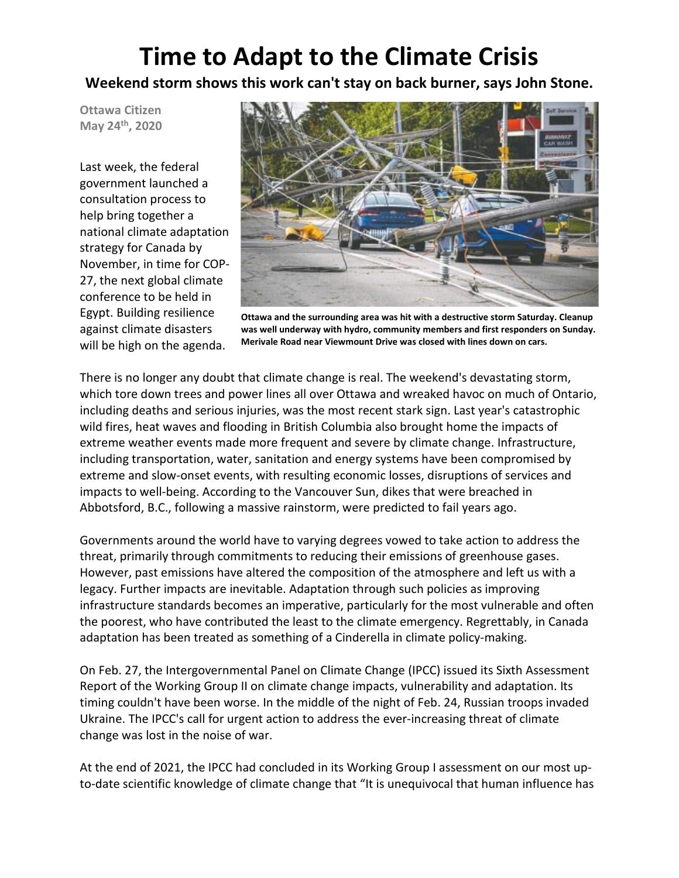## **Time to Adapt to the Climate Crisis**

**Weekend storm shows this work can't stay on back burner, says John Stone.**

**Ottawa Citizen May 24th, 2020**

Last week, the federal government launched a consultation process to help bring together a national climate adaptation strategy for Canada by November, in time for COP-27, the next global climate conference to be held in Egypt. Building resilience against climate disasters will be high on the agenda.



**Ottawa and the surrounding area was hit with a destructive storm Saturday. Cleanup was well underway with hydro, community members and first responders on Sunday. Merivale Road near Viewmount Drive was closed with lines down on cars.**

There is no longer any doubt that climate change is real. The weekend's devastating storm, which tore down trees and power lines all over Ottawa and wreaked havoc on much of Ontario, including deaths and serious injuries, was the most recent stark sign. Last year's catastrophic wild fires, heat waves and flooding in British Columbia also brought home the impacts of extreme weather events made more frequent and severe by climate change. Infrastructure, including transportation, water, sanitation and energy systems have been compromised by extreme and slow-onset events, with resulting economic losses, disruptions of services and impacts to well-being. According to the Vancouver Sun, dikes that were breached in Abbotsford, B.C., following a massive rainstorm, were predicted to fail years ago.

Governments around the world have to varying degrees vowed to take action to address the threat, primarily through commitments to reducing their emissions of greenhouse gases. However, past emissions have altered the composition of the atmosphere and left us with a legacy. Further impacts are inevitable. Adaptation through such policies as improving infrastructure standards becomes an imperative, particularly for the most vulnerable and often the poorest, who have contributed the least to the climate emergency. Regrettably, in Canada adaptation has been treated as something of a Cinderella in climate policy-making.

On Feb. 27, the Intergovernmental Panel on Climate Change (IPCC) issued its Sixth Assessment Report of the Working Group II on climate change impacts, vulnerability and adaptation. Its timing couldn't have been worse. In the middle of the night of Feb. 24, Russian troops invaded Ukraine. The IPCC's call for urgent action to address the ever-increasing threat of climate change was lost in the noise of war.

At the end of 2021, the IPCC had concluded in its Working Group I assessment on our most upto-date scientific knowledge of climate change that "It is unequivocal that human influence has